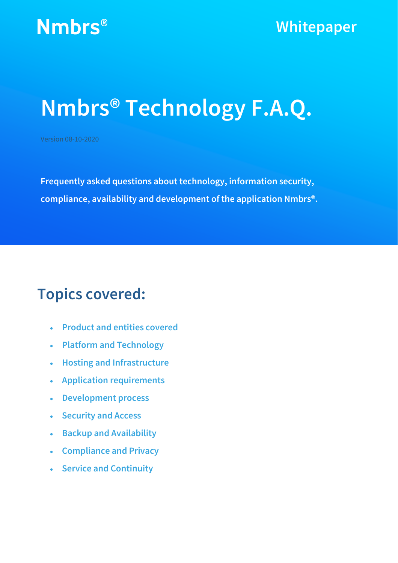## **Nmbrs® Technology F.A.Q.**

Version 08-10-2020

**Frequently asked questions about technology, information security, compliance, availability and development of the application Nmbrs®.**

## **Topics covered:**

- **Product and entities covered**
- **Platform and Technology**
- **Hosting and Infrastructure**
- **Application requirements**
- **Development process**
- **Security and Access**
- **Backup and Availability**
- **Compliance and Privacy**
- **Service and Continuity**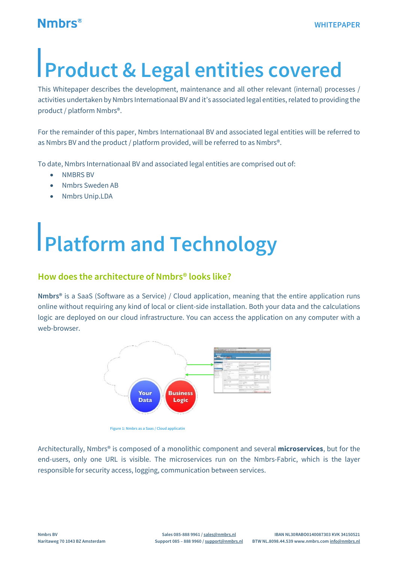## **Product & Legal entities covered**

This Whitepaper describes the development, maintenance and all other relevant (internal) processes / activities undertaken by Nmbrs Internationaal BV and it's associated legal entities, related to providing the product / platform Nmbrs®.

For the remainder of this paper, Nmbrs Internationaal BV and associated legal entities will be referred to as Nmbrs BV and the product / platform provided, will be referred to as Nmbrs®.

To date, Nmbrs Internationaal BV and associated legal entities are comprised out of:

- NMBRS BV
- Nmbrs Sweden AB
- Nmbrs Unip.LDA

# **Platform and Technology**

#### **How does the architecture of Nmbrs® looks like?**

**Nmbrs®** is a SaaS (Software as a Service) / Cloud application, meaning that the entire application runs online without requiring any kind of local or client-side installation. Both your data and the calculations logic are deployed on our cloud infrastructure. You can access the application on any computer with a web-browser.



**Figure 1: Nmbrs as a Saas / Cloud applicatin**

Architecturally, Nmbrs® is composed of a monolithic component and several **microservices**, but for the end-users, only one URL is visible. The microservices run on the Nmbrs-Fabric, which is the layer responsible for security access, logging, communication between services.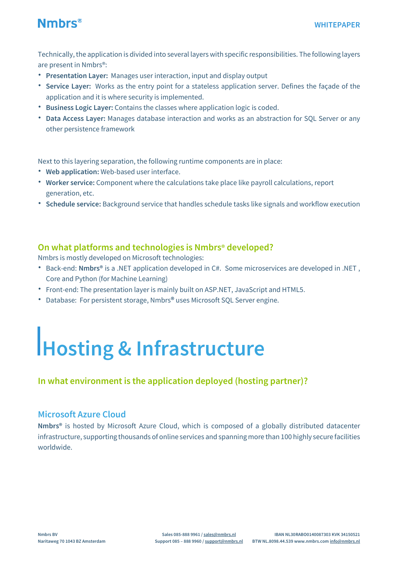

Technically, the application is divided into several layers with specific responsibilities. The following layers are present in Nmbrs®:

- **Presentation Layer:** Manages user interaction, input and display output
- **Service Layer:** Works as the entry point for a stateless application server. Defines the façade of the application and it is where security is implemented.
- **Business Logic Layer:** Contains the classes where application logic is coded.
- **Data Access Layer:** Manages database interaction and works as an abstraction for SQL Server or any other persistence framework

Next to this layering separation, the following runtime components are in place:

- **Web application:** Web-based user interface.
- **Worker service:** Component where the calculations take place like payroll calculations, report generation, etc.
- **Schedule service:** Background service that handles schedule tasks like signals and workflow execution

#### **On what platforms and technologies is Nmbrs® developed?**

Nmbrs is mostly developed on Microsoft technologies:

- Back-end: **Nmbrs®** is a .NET application developed in C#. Some microservices are developed in .NET , Core and Python (for Machine Learning)
- Front-end: The presentation layer is mainly built on ASP.NET, JavaScript and HTML5.
- Database: For persistent storage, Nmbrs**®** uses Microsoft SQL Server engine.

## **Hosting & Infrastructure**

#### **In what environment is the application deployed (hosting partner)?**

#### **Microsoft Azure Cloud**

**Nmbrs®** is hosted by Microsoft Azure Cloud, which is composed of a globally distributed datacenter infrastructure, supporting thousands of online services and spanning more than 100 highly secure facilities worldwide.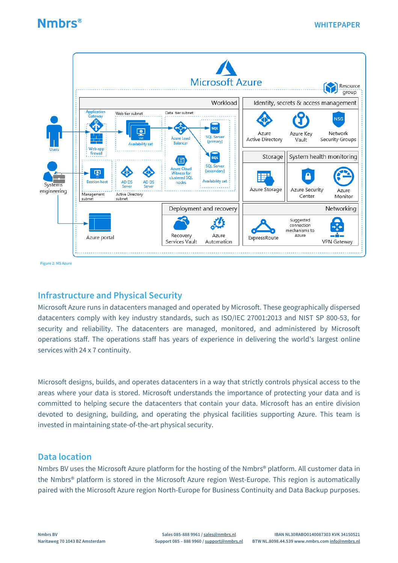

 **Figure 2: MS Azure**

#### **Infrastructure and Physical Security**

Microsoft Azure runs in datacenters managed and operated by Microsoft. These geographically dispersed datacenters comply with key industry standards, such as ISO/IEC 27001:2013 and NIST SP 800-53, for security and reliability. The datacenters are managed, monitored, and administered by Microsoft operations staff. The operations staff has years of experience in delivering the world's largest online services with 24 x 7 continuity.

Microsoft designs, builds, and operates datacenters in a way that strictly controls physical access to the areas where your data is stored. Microsoft understands the importance of protecting your data and is committed to helping secure the datacenters that contain your data. Microsoft has an entire division devoted to designing, building, and operating the physical facilities supporting Azure. This team is invested in maintaining state-of-the-art physical security.

#### **Data location**

Nmbrs BV uses the Microsoft Azure platform for the hosting of the Nmbrs<sup>®</sup> platform. All customer data in the Nmbrs® platform is stored in the Microsoft Azure region West-Europe. This region is automatically paired with the Microsoft Azure region North-Europe for Business Continuity and Data Backup purposes.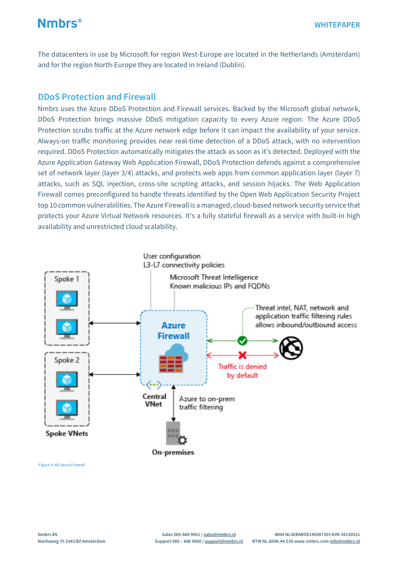The datacenters in use by Microsoft for region West-Europe are located in the Netherlands (Amsterdam) and for the region North-Europe they are located in Ireland (Dublin).

#### **DDoS Protection and Firewall**

Nmbrs uses the Azure DDoS Protection and Firewall services. Backed by the Microsoft global network, DDoS Protection brings massive DDoS mitigation capacity to every Azure region. The Azure DDoS Protection scrubs traffic at the Azure network edge before it can impact the availability of your service. Always-on traffic monitoring provides near real-time detection of a DDoS attack, with no intervention required. DDoS Protection automatically mitigates the attack as soon as it's detected. Deployed with the Azure Application Gateway Web Application Firewall, DDoS Protection defends against a comprehensive set of network layer (layer 3/4) attacks, and protects web apps from common application layer (layer 7) attacks, such as SQL injection, cross-site scripting attacks, and session hijacks. The Web Application Firewall comes preconfigured to handle threats identified by the Open Web Application Security Project top 10 common vulnerabilities. The Azure Firewall is a managed, cloud-based network security service that protects your Azure Virtual Network resources. It's a fully stateful firewall as a service with built-in high availability and unrestricted cloud scalability.



**Figure 3: MS Azure Firewall**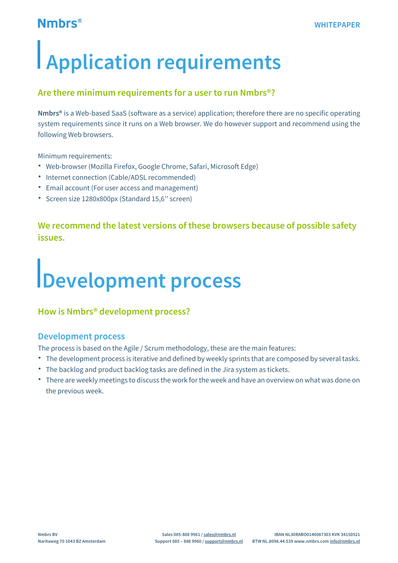# **Application requirements**

#### **Are there minimum requirements for a user to run Nmbrs®?**

**Nmbrs®** is a Web-based SaaS (software as a service) application; therefore there are no specific operating system requirements since it runs on a Web browser. We do however support and recommend using the following Web browsers.

Minimum requirements:

- Web-browser (Mozilla Firefox, Google Chrome, Safari, Microsoft Edge)
- Internet connection (Cable/ADSL recommended)
- Email account (For user access and management)
- Screen size 1280x800px (Standard 15,6'' screen)

#### **We recommend the latest versions of these browsers because of possible safety issues.**

# **Development process**

#### **How is Nmbrs® development process?**

#### **Development process**

The process is based on the Agile / Scrum methodology, these are the main features:

- The development process is iterative and defined by weekly sprints that are composed by several tasks.
- The backlog and product backlog tasks are defined in the Jira system as tickets.
- There are weekly meetings to discuss the work for the week and have an overview on what was done on the previous week.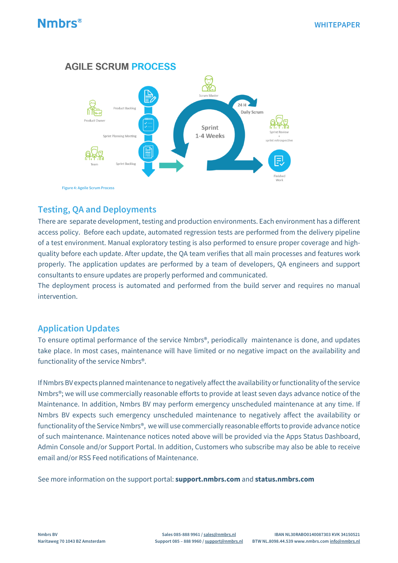

#### **Testing, QA and Deployments**

There are separate development, testing and production environments. Each environment has a different access policy. Before each update, automated regression tests are performed from the delivery pipeline of a test environment. Manual exploratory testing is also performed to ensure proper coverage and highquality before each update. After update, the QA team verifies that all main processes and features work properly. The application updates are performed by a team of developers, QA engineers and support consultants to ensure updates are properly performed and communicated.

The deployment process is automated and performed from the build server and requires no manual intervention.

#### **Application Updates**

To ensure optimal performance of the service Nmbrs®, periodically maintenance is done, and updates take place. In most cases, maintenance will have limited or no negative impact on the availability and functionality of the service Nmbrs®.

If Nmbrs BV expects planned maintenance to negatively affect the availability or functionality of the service Nmbrs®; we will use commercially reasonable efforts to provide at least seven days advance notice of the Maintenance. In addition, Nmbrs BV may perform emergency unscheduled maintenance at any time. If Nmbrs BV expects such emergency unscheduled maintenance to negatively affect the availability or functionality of the Service Nmbrs®, we will use commercially reasonable efforts to provide advance notice of such maintenance. Maintenance notices noted above will be provided via the Apps Status Dashboard, Admin Console and/or Support Portal. In addition, Customers who subscribe may also be able to receive email and/or RSS Feed notifications of Maintenance.

See more information on the support portal: **[support.nmbrs.com](http://support.nmbrs.nl/)** and **status.nmbrs.com**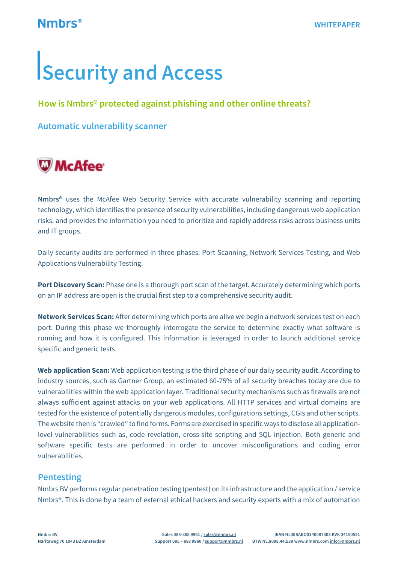# **Security and Access**

#### **How is Nmbrs® protected against phishing and other online threats?**

**Automatic vulnerability scanner**

## **W**McAfee<sup>®</sup>

**Nmbrs®** uses the McAfee Web Security Service with accurate vulnerability scanning and reporting technology, which identifies the presence of security vulnerabilities, including dangerous web application risks, and provides the information you need to prioritize and rapidly address risks across business units and IT groups.

Daily security audits are performed in three phases: Port Scanning, Network Services Testing, and Web Applications Vulnerability Testing.

**Port Discovery Scan:** Phase one is a thorough port scan of the target. Accurately determining which ports on an IP address are open is the crucial first step to a comprehensive security audit.

**Network Services Scan:** After determining which ports are alive we begin a network services test on each port. During this phase we thoroughly interrogate the service to determine exactly what software is running and how it is configured. This information is leveraged in order to launch additional service specific and generic tests.

**Web application Scan:** Web application testing is the third phase of our daily security audit. According to industry sources, such as Gartner Group, an estimated 60-75% of all security breaches today are due to vulnerabilities within the web application layer. Traditional security mechanisms such as firewalls are not always sufficient against attacks on your web applications. All HTTP services and virtual domains are tested for the existence of potentially dangerous modules, configurations settings, CGIs and other scripts. The website then is "crawled" to find forms. Forms are exercised in specific ways to disclose all applicationlevel vulnerabilities such as, code revelation, cross-site scripting and SQL injection. Both generic and software specific tests are performed in order to uncover misconfigurations and coding error vulnerabilities.

#### **Pentesting**

Nmbrs BV performs regular penetration testing (pentest) on its infrastructure and the application / service Nmbrs®. This is done by a team of external ethical hackers and security experts with a mix of automation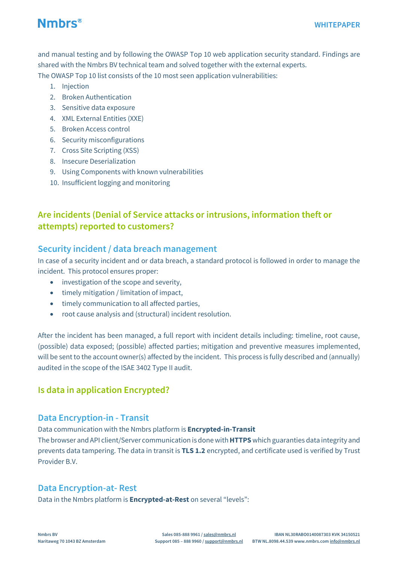and manual testing and by following the OWASP Top 10 web application security standard. Findings are shared with the Nmbrs BV technical team and solved together with the external experts. The OWASP Top 10 list consists of the 10 most seen application vulnerabilities:

- 1. Injection
- 2. Broken Authentication
- 3. Sensitive data exposure
- 4. XML External Entities (XXE)
- 5. Broken Access control
- 6. Security misconfigurations
- 7. Cross Site Scripting (XSS)
- 8. Insecure Deserialization
- 9. Using Components with known vulnerabilities
- 10. Insufficient logging and monitoring

#### **Are incidents (Denial of Service attacks or intrusions, information theft or attempts) reported to customers?**

#### **Security incident / data breach management**

In case of a security incident and or data breach, a standard protocol is followed in order to manage the incident. This protocol ensures proper:

- investigation of the scope and severity,
- timely mitigation / limitation of impact,
- timely communication to all affected parties,
- root cause analysis and (structural) incident resolution.

After the incident has been managed, a full report with incident details including: timeline, root cause, (possible) data exposed; (possible) affected parties; mitigation and preventive measures implemented, will be sent to the account owner(s) affected by the incident. This process is fully described and (annually) audited in the scope of the ISAE 3402 Type II audit.

#### **Is data in application Encrypted?**

#### **Data Encryption-in - Transit**

Data communication with the Nmbrs platform is **Encrypted-in-Transit** The browser and API client/Server communication is done with**HTTPS** which guaranties data integrity and prevents data tampering. The data in transit is **TLS 1.2** encrypted, and certificate used is verified by Trust Provider B.V.

#### **Data Encryption-at- Rest**

Data in the Nmbrs platform is **Encrypted-at-Rest** on several "levels":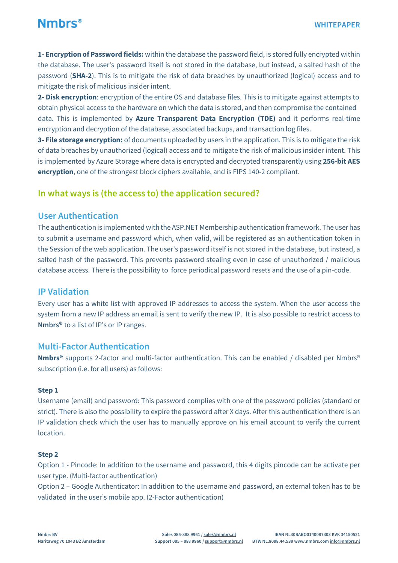**1- Encryption of Password fields:** within the database the password field, is stored fully encrypted within the database. The user's password itself is not stored in the database, but instead, a salted hash of the password (**SHA-2**). This is to mitigate the risk of data breaches by unauthorized (logical) access and to mitigate the risk of malicious insider intent.

**2- Disk encryption**: encryption of the entire OS and database files. This is to mitigate against attempts to obtain physical access to the hardware on which the data is stored, and then compromise the contained data. This is implemented by **Azure Transparent Data Encryption (TDE)** and it performs real-time encryption and decryption of the database, associated backups, and transaction log files.

**3- File storage encryption:** of documents uploaded by users in the application. This is to mitigate the risk of data breaches by unauthorized (logical) access and to mitigate the risk of malicious insider intent. This is implemented by Azure Storage where data is encrypted and decrypted transparently using **256-bit [AES](https://en.wikipedia.org/wiki/Advanced_Encryption_Standard) [encryption](https://en.wikipedia.org/wiki/Advanced_Encryption_Standard)**, one of the strongest block ciphers available, and is FIPS 140-2 compliant.

#### **In what ways is (the access to) the application secured?**

#### **User Authentication**

The authentication is implemented with the ASP.NET Membership authentication framework. The user has to submit a username and password which, when valid, will be registered as an authentication token in the Session of the web application. The user's password itself is not stored in the database, but instead, a salted hash of the password. This prevents password stealing even in case of unauthorized / malicious database access. There is the possibility to force periodical password resets and the use of a pin-code.

#### **IP Validation**

Every user has a white list with approved IP addresses to access the system. When the user access the system from a new IP address an email is sent to verify the new IP. It is also possible to restrict access to **Nmbrs®** to a list of IP's or IP ranges.

#### **Multi-Factor Authentication**

**Nmbrs®** supports 2-factor and multi-factor authentication. This can be enabled / disabled per Nmbrs® subscription (i.e. for all users) as follows:

#### **Step 1**

Username (email) and password: This password complies with one of the password policies (standard or strict). There is also the possibility to expire the password after X days. After this authentication there is an IP validation check which the user has to manually approve on his email account to verify the current location.

#### **Step 2**

Option 1 - Pincode: In addition to the username and password, this 4 digits pincode can be activate per user type. (Multi-factor authentication)

Option 2 – Google Authenticator: In addition to the username and password, an external token has to be validated in the user's mobile app. (2-Factor authentication)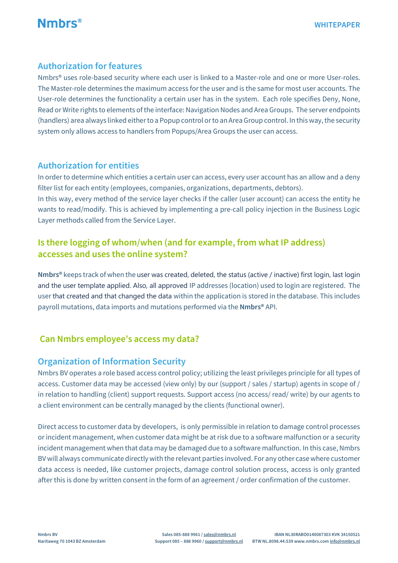

#### **Authorization for features**

Nmbrs® uses role-based security where each user is linked to a Master-role and one or more User-roles. The Master-role determines the maximum access for the user and is the same for most user accounts. The User-role determines the functionality a certain user has in the system. Each role specifies Deny, None, Read or Write rights to elements of the interface: Navigation Nodes and Area Groups. The server endpoints (handlers) area always linked eitherto a Popup control orto an AreaGroup control. In this way,the security system only allows access to handlers from Popups/Area Groups the user can access.

#### **Authorization for entities**

In order to determine which entities a certain user can access, every user account has an allow and a deny filter list for each entity (employees, companies, organizations, departments, debtors).

In this way, every method of the service layer checks if the caller (user account) can access the entity he wants to read/modify. This is achieved by implementing a pre-call policy injection in the Business Logic Layer methods called from the Service Layer.

#### **Is there logging of whom/when (and for example, from what IP address) accesses and uses the online system?**

**Nmbrs®** keeps track of when the user was created, deleted, the status (active / inactive) first login, last login and the user template applied. Also, all approved IP addresses (location) used to login are registered. The user that created and that changed the data within the application is stored in the database. This includes payroll mutations, data imports and mutations performed via the **Nmbrs®** API.

#### **Can Nmbrs employee's access my data?**

#### **Organization of Information Security**

Nmbrs BV operates a role based access control policy; utilizing the least privileges principle for all types of access. Customer data may be accessed (view only) by our (support / sales / startup) agents in scope of / in relation to handling (client) support requests. Support access (no access/ read/ write) by our agents to a client environment can be centrally managed by the clients (functional owner).

Direct access to customer data by developers, is only permissible in relation to damage control processes or incident management, when customer data might be at risk due to a software malfunction or a security incident management when that data may be damaged due to a software malfunction. In this case, Nmbrs BV will always communicate directly with the relevant parties involved. For any other case where customer data access is needed, like customer projects, damage control solution process, access is only granted after this is done by written consent in the form of an agreement / order confirmation of the customer.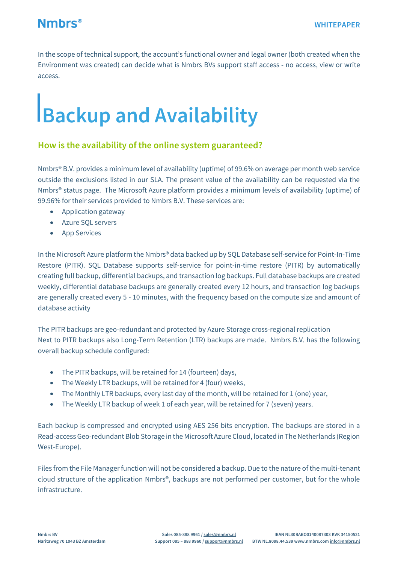

In the scope of technical support, the account's functional owner and legal owner (both created when the Environment was created) can decide what is Nmbrs BVs support staff access - no access, view or write access.

## **Backup and Availability**

#### **How is the availability of the online system guaranteed?**

Nmbrs® B.V. provides a minimum level of availability (uptime) of 99.6% on average per month web service outside the exclusions listed in our SLA. The present value of the availability can be requested via the Nmbrs® status page. The Microsoft Azure platform provides a minimum levels of availability (uptime) of 99.96% for their services provided to Nmbrs B.V. These services are:

- Application gateway
- Azure SQL servers
- App Services

In the Microsoft Azure platform the Nmbrs® data backed up by SQL Database self-service for Point-In-Time Restore (PITR). SQL Database supports self-service for point-in-time restore (PITR) by automatically creating full backup, differential backups, and transaction log backups. Full database backups are created weekly, differential database backups are generally created every 12 hours, and transaction log backups are generally created every 5 - 10 minutes, with the frequency based on the compute size and amount of database activity

The PITR backups are geo-redundant and protected by [Azure Storage cross-regional replication](https://docs.microsoft.com/en-us/azure/storage/common/storage-redundancy-grs#read-access-geo-redundant-storage) Next to PITR backups also Long-Term Retention (LTR) backups are made. Nmbrs B.V. has the following overall backup schedule configured:

- The PITR backups, will be retained for 14 (fourteen) days,
- The Weekly LTR backups, will be retained for 4 (four) weeks,
- The Monthly LTR backups, every last day of the month, will be retained for 1 (one) year,
- The Weekly LTR backup of week 1 of each year, will be retained for 7 (seven) years.

Each backup is compressed and encrypted using AES 256 bits encryption. The backups are stored in a Read-access Geo-redundant Blob Storage in the Microsoft Azure Cloud, located in The Netherlands (Region West-Europe).

Files from the File Manager function will not be considered a backup. Due to the nature of the multi-tenant cloud structure of the application Nmbrs®, backups are not performed per customer, but for the whole infrastructure.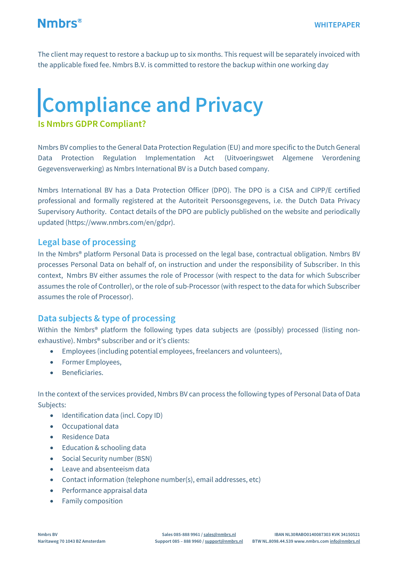

The client may request to restore a backup up to six months. This request will be separately invoiced with the applicable fixed fee. Nmbrs B.V. is committed to restore the backup within one working day

## **Compliance and Privacy**

#### **Is Nmbrs GDPR Compliant?**

Nmbrs BV complies to the General Data Protection Regulation (EU) and more specific to the Dutch General Data Protection Regulation Implementation Act (Uitvoeringswet Algemene Verordening Gegevensverwerking) as Nmbrs International BV is a Dutch based company.

Nmbrs International BV has a Data Protection Officer (DPO). The DPO is a CISA and CIPP/E certified professional and formally registered at the Autoriteit Persoonsgegevens, i.e. the Dutch Data Privacy Supervisory Authority. Contact details of the DPO are publicly published on the website and periodically updated [\(https://www.nmbrs.com/en/gdpr\)](https://www.nmbrs.com/en/gdpr).

#### **Legal base of processing**

In the Nmbrs® platform Personal Data is processed on the legal base, contractual obligation. Nmbrs BV processes Personal Data on behalf of, on instruction and under the responsibility of Subscriber. In this context, Nmbrs BV either assumes the role of Processor (with respect to the data for which Subscriber assumes the role of Controller), or the role of sub-Processor (with respect to the data for which Subscriber assumes the role of Processor).

#### **Data subjects & type of processing**

Within the Nmbrs® platform the following types data subjects are (possibly) processed (listing nonexhaustive). Nmbrs® subscriber and or it's clients:

- Employees (including potential employees, freelancers and volunteers),
- Former Employees,
- Beneficiaries.

In the context of the services provided, Nmbrs BV can process the following types of Personal Data of Data Subjects:

- Identification data (incl. Copy ID)
- Occupational data
- Residence Data
- Education & schooling data
- Social Security number (BSN)
- Leave and absenteeism data
- Contact information (telephone number(s), email addresses, etc)
- Performance appraisal data
- Family composition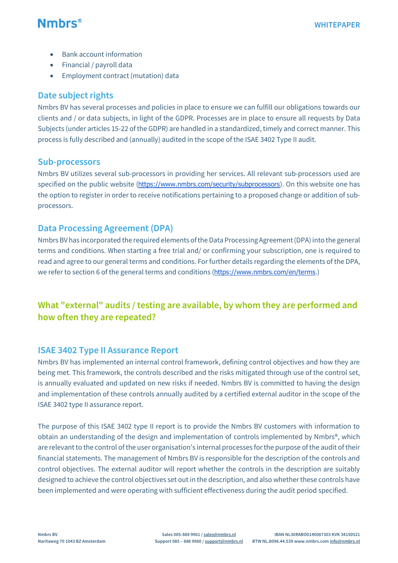

- Bank account information
- Financial / payroll data
- Employment contract (mutation) data

#### **Date subject rights**

Nmbrs BV has several processes and policies in place to ensure we can fulfill our obligations towards our clients and / or data subjects, in light of the GDPR. Processes are in place to ensure all requests by Data Subjects (under articles 15-22 of the GDPR) are handled in a standardized, timely and correct manner. This process is fully described and (annually) audited in the scope of the ISAE 3402 Type II audit.

#### **Sub-processors**

Nmbrs BV utilizes several sub-processors in providing her services. All relevant sub-processors used are specified on the public website (<https://www.nmbrs.com/security/subprocessors>). On this website one has the option to register in order to receive notifications pertaining to a proposed change or addition of subprocessors.

#### **Data Processing Agreement (DPA)**

Nmbrs BV has incorporated the required elements of the Data Processing Agreement (DPA) into the general terms and conditions. When starting a free trial and/ or confirming your subscription, one is required to read and agree to our general terms and conditions. For further details regarding the elements of the DPA, we refer to section 6 of the general terms and conditions (<https://www.nmbrs.com/en/terms>.)

#### **What "external" audits / testing are available, by whom they are performed and how often they are repeated?**

#### **ISAE 3402 Type II Assurance Report**

Nmbrs BV has implemented an internal control framework, defining control objectives and how they are being met. This framework, the controls described and the risks mitigated through use of the control set, is annually evaluated and updated on new risks if needed. Nmbrs BV is committed to having the design and implementation of these controls annually audited by a certified external auditor in the scope of the ISAE 3402 type II assurance report.

The purpose of this ISAE 3402 type II report is to provide the Nmbrs BV customers with information to obtain an understanding of the design and implementation of controls implemented by Nmbrs®, which are relevant to the control of the user organisation's internal processes for the purpose of the audit of their financial statements. The management of Nmbrs BV is responsible for the description of the controls and control objectives. The external auditor will report whether the controls in the description are suitably designed to achieve the control objectives set out in the description, and also whether these controls have been implemented and were operating with sufficient effectiveness during the audit period specified.